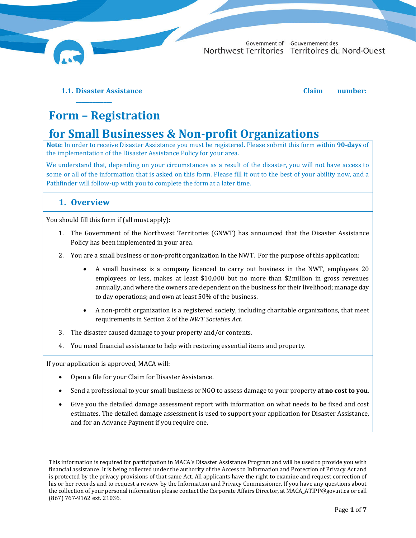

Government of Gouvernement des Northwest Territories Territoires du Nord-Ouest

**1.1. Disaster Assistance Claim number:**

**\_\_\_\_\_\_\_\_\_\_\_\_\_**

# **Form – Registration**

## **for Small Businesses & Non‐profit Organizations**

**Note**: In order to receive Disaster Assistance you must be registered. Please submit this form within **90‐days** of the implementation of the Disaster Assistance Policy for your area.

We understand that, depending on your circumstances as a result of the disaster, you will not have access to some or all of the information that is asked on this form. Please fill it out to the best of your ability now, and a Pathfinder will follow-up with you to complete the form at a later time.

### **1. Overview**

You should fill this form if (all must apply):

- 1. The Government of the Northwest Territories (GNWT) has announced that the Disaster Assistance Policy has been implemented in your area.
- 2. You are a small business or non-profit organization in the NWT. For the purpose of this application:
	- A small business is a company licenced to carry out business in the NWT, employees 20 employees or less, makes at least \$10,000 but no more than \$2million in gross revenues annually, and where the owners are dependent on the business for their livelihood; manage day to day operations; and own at least 50% of the business.
	- A non-profit organization is a registered society, including charitable organizations, that meet requirements in Section 2 of the *NWT Societies Act*.
- 3. The disaster caused damage to your property and/or contents.
- 4. You need financial assistance to help with restoring essential items and property.

If your application is approved, MACA will:

- Open a file for your Claim for Disaster Assistance.
- Send a professional to your small business or NGO to assess damage to your property **at no cost to you**.
- Give you the detailed damage assessment report with information on what needs to be fixed and cost estimates. The detailed damage assessment is used to support your application for Disaster Assistance, and for an Advance Payment if you require one.

This information is required for participation in MACA's Disaster Assistance Program and will be used to provide you with financial assistance. It is being collected under the authority of the Access to Information and Protection of Privacy Act and is protected by the privacy provisions of that same Act. All applicants have the right to examine and request correction of his or her records and to request a review by the Information and Privacy Commissioner. If you have any questions about the collection of your personal information please contact the Corporate Affairs Director, at MACA\_ATIPP@gov.nt.ca or call (867) 767-9162 ext. 21036.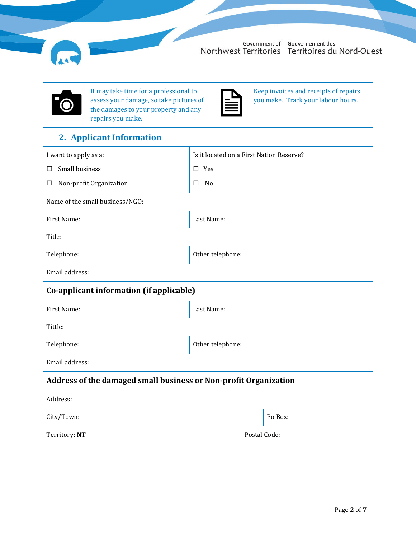



It may take time for a professional to assess your damage, so take pictures of the damages to your property and any repairs you make.

Keep invoices and receipts of repairs you make. Track your labour hours.

## **2. Applicant Information**

| I want to apply as a:                                            | Is it located on a First Nation Reserve? |              |         |
|------------------------------------------------------------------|------------------------------------------|--------------|---------|
| Small business<br>$\Box$                                         | $\square$ Yes                            |              |         |
| Non-profit Organization<br>$\Box$                                | No<br>$\Box$                             |              |         |
| Name of the small business/NGO:                                  |                                          |              |         |
| First Name:                                                      | Last Name:                               |              |         |
| Title:                                                           |                                          |              |         |
| Telephone:                                                       | Other telephone:                         |              |         |
| Email address:                                                   |                                          |              |         |
| Co-applicant information (if applicable)                         |                                          |              |         |
| First Name:                                                      | Last Name:                               |              |         |
| Tittle:                                                          |                                          |              |         |
| Telephone:                                                       | Other telephone:                         |              |         |
| Email address:                                                   |                                          |              |         |
| Address of the damaged small business or Non-profit Organization |                                          |              |         |
| Address:                                                         |                                          |              |         |
| City/Town:                                                       |                                          |              | Po Box: |
| Territory: NT                                                    |                                          | Postal Code: |         |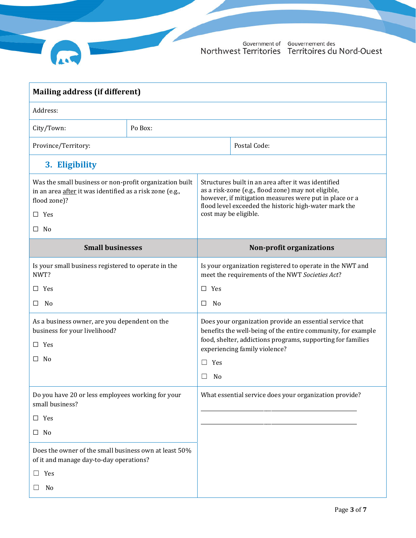

| Mailing address (if different)                                                                                                                       |         |                                                                                                                                                                                                                                                        |                                 |  |
|------------------------------------------------------------------------------------------------------------------------------------------------------|---------|--------------------------------------------------------------------------------------------------------------------------------------------------------------------------------------------------------------------------------------------------------|---------------------------------|--|
| Address:                                                                                                                                             |         |                                                                                                                                                                                                                                                        |                                 |  |
| City/Town:                                                                                                                                           | Po Box: |                                                                                                                                                                                                                                                        |                                 |  |
| Province/Territory:                                                                                                                                  |         |                                                                                                                                                                                                                                                        | Postal Code:                    |  |
| 3. Eligibility                                                                                                                                       |         |                                                                                                                                                                                                                                                        |                                 |  |
| Was the small business or non-profit organization built<br>in an area after it was identified as a risk zone (e.g.,<br>flood zone)?<br>$\square$ Yes |         | Structures built in an area after it was identified<br>as a risk-zone (e.g., flood zone) may not eligible,<br>however, if mitigation measures were put in place or a<br>flood level exceeded the historic high-water mark the<br>cost may be eligible. |                                 |  |
| $\square$ No                                                                                                                                         |         |                                                                                                                                                                                                                                                        |                                 |  |
| <b>Small businesses</b>                                                                                                                              |         |                                                                                                                                                                                                                                                        | <b>Non-profit organizations</b> |  |
| Is your small business registered to operate in the<br>NWT?                                                                                          |         | Is your organization registered to operate in the NWT and<br>meet the requirements of the NWT Societies Act?                                                                                                                                           |                                 |  |
| $\Box$ Yes                                                                                                                                           |         | $\square$ Yes                                                                                                                                                                                                                                          |                                 |  |
| No<br>$\Box$                                                                                                                                         |         | No<br>□                                                                                                                                                                                                                                                |                                 |  |
| As a business owner, are you dependent on the<br>business for your livelihood?<br>$\square$ Yes                                                      |         | Does your organization provide an essential service that<br>benefits the well-being of the entire community, for example<br>food, shelter, addictions programs, supporting for families<br>experiencing family violence?                               |                                 |  |
| $\square$ No                                                                                                                                         |         | Yes<br>$\Box$                                                                                                                                                                                                                                          |                                 |  |
|                                                                                                                                                      |         | No                                                                                                                                                                                                                                                     |                                 |  |
| Do you have 20 or less employees working for your<br>small business?                                                                                 |         | What essential service does your organization provide?                                                                                                                                                                                                 |                                 |  |
| $\square$ Yes                                                                                                                                        |         |                                                                                                                                                                                                                                                        |                                 |  |
| $\square$ No                                                                                                                                         |         |                                                                                                                                                                                                                                                        |                                 |  |
| Does the owner of the small business own at least 50%<br>of it and manage day-to-day operations?                                                     |         |                                                                                                                                                                                                                                                        |                                 |  |
| Yes<br>$\Box$                                                                                                                                        |         |                                                                                                                                                                                                                                                        |                                 |  |
| No                                                                                                                                                   |         |                                                                                                                                                                                                                                                        |                                 |  |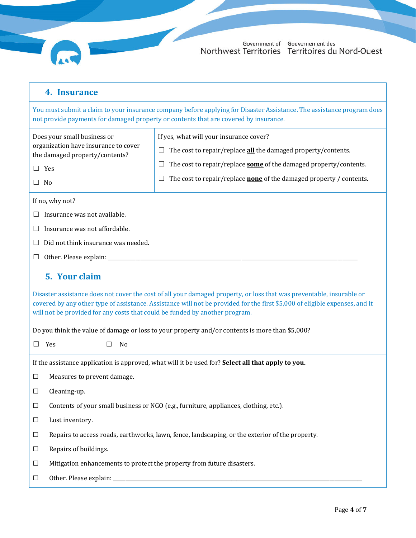| 4. Insurance |
|--------------|
|              |

You must submit a claim to your insurance company before applying for Disaster Assistance. The assistance program does not provide payments for damaged property or contents that are covered by insurance.

| Does your small business or<br>organization have insurance to cover<br>the damaged property/contents?<br>$\Box$ Yes                                                                                                                                                                                                                | If yes, what will your insurance cover?<br>The cost to repair/replace <b>all</b> the damaged property/contents.<br>⊔<br>The cost to repair/replace some of the damaged property/contents.<br>⊔ |  |  |  |
|------------------------------------------------------------------------------------------------------------------------------------------------------------------------------------------------------------------------------------------------------------------------------------------------------------------------------------|------------------------------------------------------------------------------------------------------------------------------------------------------------------------------------------------|--|--|--|
| No<br>$\Box$                                                                                                                                                                                                                                                                                                                       | The cost to repair/replace <b>none</b> of the damaged property / contents.<br>$\sqcup$                                                                                                         |  |  |  |
| If no, why not?                                                                                                                                                                                                                                                                                                                    |                                                                                                                                                                                                |  |  |  |
| Insurance was not available.                                                                                                                                                                                                                                                                                                       |                                                                                                                                                                                                |  |  |  |
| Insurance was not affordable.                                                                                                                                                                                                                                                                                                      |                                                                                                                                                                                                |  |  |  |
| Did not think insurance was needed.                                                                                                                                                                                                                                                                                                |                                                                                                                                                                                                |  |  |  |
| Other. Please explain: __________                                                                                                                                                                                                                                                                                                  |                                                                                                                                                                                                |  |  |  |
| 5. Your claim                                                                                                                                                                                                                                                                                                                      |                                                                                                                                                                                                |  |  |  |
| Disaster assistance does not cover the cost of all your damaged property, or loss that was preventable, insurable or<br>covered by any other type of assistance. Assistance will not be provided for the first \$5,000 of eligible expenses, and it<br>will not be provided for any costs that could be funded by another program. |                                                                                                                                                                                                |  |  |  |
|                                                                                                                                                                                                                                                                                                                                    | Do you think the value of damage or loss to your property and/or contents is more than \$5,000?                                                                                                |  |  |  |
| Yes<br>No<br>$\Box$                                                                                                                                                                                                                                                                                                                |                                                                                                                                                                                                |  |  |  |
|                                                                                                                                                                                                                                                                                                                                    | If the assistance application is approved, what will it be used for? Select all that apply to you.                                                                                             |  |  |  |
| Measures to prevent damage.<br>$\Box$                                                                                                                                                                                                                                                                                              |                                                                                                                                                                                                |  |  |  |
| Cleaning-up.<br>$\Box$                                                                                                                                                                                                                                                                                                             |                                                                                                                                                                                                |  |  |  |
| $\Box$                                                                                                                                                                                                                                                                                                                             | Contents of your small business or NGO (e.g., furniture, appliances, clothing, etc.).                                                                                                          |  |  |  |
| Lost inventory.<br>$\Box$                                                                                                                                                                                                                                                                                                          |                                                                                                                                                                                                |  |  |  |
| $\Box$                                                                                                                                                                                                                                                                                                                             | Repairs to access roads, earthworks, lawn, fence, landscaping, or the exterior of the property.                                                                                                |  |  |  |
| Repairs of buildings.<br>$\Box$                                                                                                                                                                                                                                                                                                    |                                                                                                                                                                                                |  |  |  |
| $\Box$                                                                                                                                                                                                                                                                                                                             | Mitigation enhancements to protect the property from future disasters.                                                                                                                         |  |  |  |
| $\Box$                                                                                                                                                                                                                                                                                                                             |                                                                                                                                                                                                |  |  |  |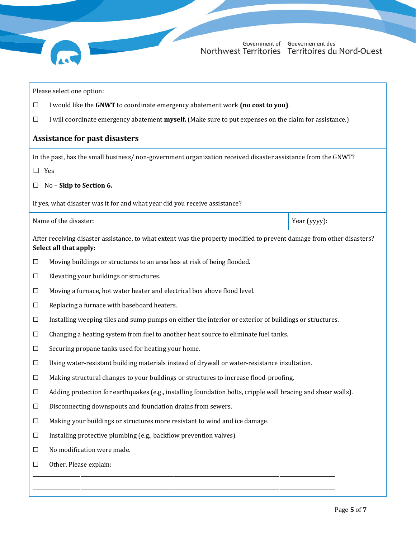Government of Gouvernement des<br>Northwest Territories Territoires du Nord-Ouest

|                                                                                                                                                 | Please select one option:                                                                                    |              |  |  |
|-------------------------------------------------------------------------------------------------------------------------------------------------|--------------------------------------------------------------------------------------------------------------|--------------|--|--|
| $\Box$                                                                                                                                          | I would like the GNWT to coordinate emergency abatement work (no cost to you).                               |              |  |  |
| □                                                                                                                                               | I will coordinate emergency abatement myself. (Make sure to put expenses on the claim for assistance.)       |              |  |  |
|                                                                                                                                                 | <b>Assistance for past disasters</b>                                                                         |              |  |  |
|                                                                                                                                                 | In the past, has the small business/non-government organization received disaster assistance from the GNWT?  |              |  |  |
| $\Box$                                                                                                                                          | Yes                                                                                                          |              |  |  |
| ⊔                                                                                                                                               | No - Skip to Section 6.                                                                                      |              |  |  |
|                                                                                                                                                 | If yes, what disaster was it for and what year did you receive assistance?                                   |              |  |  |
|                                                                                                                                                 | Name of the disaster:                                                                                        | Year (yyyy): |  |  |
| After receiving disaster assistance, to what extent was the property modified to prevent damage from other disasters?<br>Select all that apply: |                                                                                                              |              |  |  |
| $\Box$                                                                                                                                          | Moving buildings or structures to an area less at risk of being flooded.                                     |              |  |  |
| $\Box$                                                                                                                                          | Elevating your buildings or structures.                                                                      |              |  |  |
| $\Box$                                                                                                                                          | Moving a furnace, hot water heater and electrical box above flood level.                                     |              |  |  |
| $\Box$                                                                                                                                          | Replacing a furnace with baseboard heaters.                                                                  |              |  |  |
| $\Box$                                                                                                                                          | Installing weeping tiles and sump pumps on either the interior or exterior of buildings or structures.       |              |  |  |
| $\Box$                                                                                                                                          | Changing a heating system from fuel to another heat source to eliminate fuel tanks.                          |              |  |  |
| ⊔                                                                                                                                               | Securing propane tanks used for heating your home.                                                           |              |  |  |
| ப                                                                                                                                               | Using water-resistant building materials instead of drywall or water-resistance insultation.                 |              |  |  |
| ப                                                                                                                                               | Making structural changes to your buildings or structures to increase flood-proofing.                        |              |  |  |
| $\Box$                                                                                                                                          | Adding protection for earthquakes (e.g., installing foundation bolts, cripple wall bracing and shear walls). |              |  |  |
| $\Box$                                                                                                                                          | Disconnecting downspouts and foundation drains from sewers.                                                  |              |  |  |
| $\Box$                                                                                                                                          | Making your buildings or structures more resistant to wind and ice damage.                                   |              |  |  |
| $\Box$                                                                                                                                          | Installing protective plumbing (e.g., backflow prevention valves).                                           |              |  |  |
| $\Box$                                                                                                                                          | No modification were made.                                                                                   |              |  |  |
| □                                                                                                                                               | Other. Please explain:                                                                                       |              |  |  |
|                                                                                                                                                 |                                                                                                              |              |  |  |
|                                                                                                                                                 |                                                                                                              |              |  |  |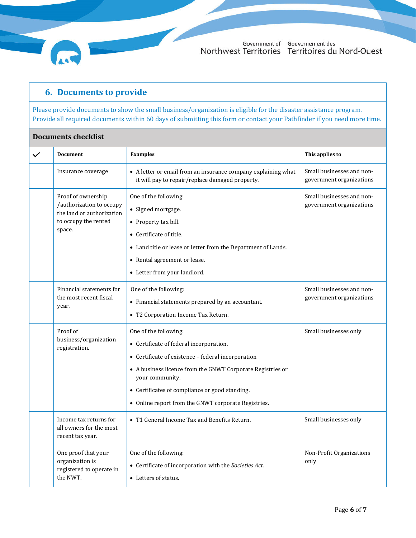Government of Gouvernement des Northwest Territories Territoires du Nord-Ouest

### **6. Documents to provide**

Please provide documents to show the small business/organization is eligible for the disaster assistance program. Provide all required documents within 60 days of submitting this form or contact your Pathfinder if you need more time.

#### **Documents checklist**

| $\checkmark$ | <b>Document</b>                                                                                               | <b>Examples</b>                                                                                                                                                                                                                                                                                                  | This applies to                                       |
|--------------|---------------------------------------------------------------------------------------------------------------|------------------------------------------------------------------------------------------------------------------------------------------------------------------------------------------------------------------------------------------------------------------------------------------------------------------|-------------------------------------------------------|
|              | Insurance coverage                                                                                            | • A letter or email from an insurance company explaining what<br>it will pay to repair/replace damaged property.                                                                                                                                                                                                 | Small businesses and non-<br>government organizations |
|              | Proof of ownership<br>/authorization to occupy<br>the land or authorization<br>to occupy the rented<br>space. | One of the following:<br>• Signed mortgage.<br>• Property tax bill.<br>• Certificate of title.<br>• Land title or lease or letter from the Department of Lands.<br>• Rental agreement or lease.<br>• Letter from your landlord.                                                                                  | Small businesses and non-<br>government organizations |
|              | Financial statements for<br>the most recent fiscal<br>year.                                                   | One of the following:<br>• Financial statements prepared by an accountant.<br>• T2 Corporation Income Tax Return.                                                                                                                                                                                                | Small businesses and non-<br>government organizations |
|              | Proof of<br>business/organization<br>registration.                                                            | One of the following:<br>• Certificate of federal incorporation.<br>• Certificate of existence - federal incorporation<br>• A business licence from the GNWT Corporate Registries or<br>your community.<br>• Certificates of compliance or good standing.<br>• Online report from the GNWT corporate Registries. | Small businesses only                                 |
|              | Income tax returns for<br>all owners for the most<br>recent tax year.                                         | • T1 General Income Tax and Benefits Return.                                                                                                                                                                                                                                                                     | Small businesses only                                 |
|              | One proof that your<br>organization is<br>registered to operate in<br>the NWT.                                | One of the following:<br>• Certificate of incorporation with the Societies Act.<br>• Letters of status.                                                                                                                                                                                                          | Non-Profit Organizations<br>only                      |